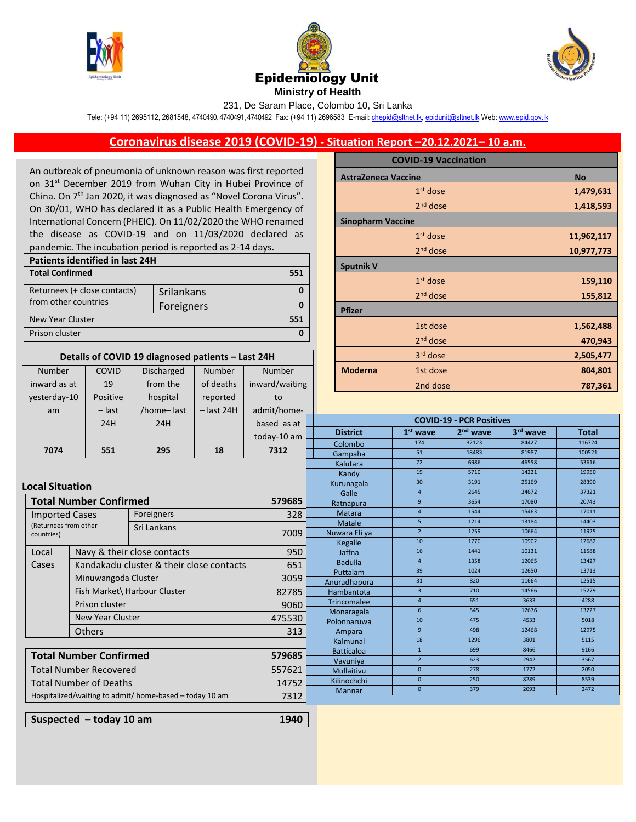





231, De Saram Place, Colombo 10, Sri Lanka

Tele: (+94 11) 2695112, 2681548, 4740490, 4740491, 4740492 Fax: (+94 11) 2696583 E-mail[: chepid@sltnet.lk,](mailto:chepi@sltnet.lk) [epidunit@sltnet.lk](mailto:epidunit@sltnet.lk) Web[: www.epid.gov.lk](http://www.epid.gov.lk/)

## **Coronavirus disease 2019 (COVID-19) - Situation Report –20.12.2021– 10 a.m.**

An outbreak of pneumonia of unknown reason was first reported on 31<sup>st</sup> December 2019 from Wuhan City in Hubei Province of China. On 7<sup>th</sup> Jan 2020, it was diagnosed as "Novel Corona Virus". On 30/01, WHO has declared it as a Public Health Emergency of International Concern (PHEIC). On 11/02/2020 the WHO renamed the disease as COVID-19 and on 11/03/2020 declared as pandemic. The incubation period is reported as 2-14 days.

| Patients identified in last 24H |            |  |  |  |  |
|---------------------------------|------------|--|--|--|--|
| <b>Total Confirmed</b>          |            |  |  |  |  |
| Returnees (+ close contacts)    | Srilankans |  |  |  |  |
| from other countries            | Foreigners |  |  |  |  |
| New Year Cluster                |            |  |  |  |  |
| Prison cluster                  |            |  |  |  |  |

| Details of COVID 19 diagnosed patients - Last 24H |          |                   |              |                |  |  |  |
|---------------------------------------------------|----------|-------------------|--------------|----------------|--|--|--|
| <b>Number</b>                                     | COVID    | <b>Discharged</b> | Number       | <b>Number</b>  |  |  |  |
| inward as at                                      | 19       | from the          | of deaths    | inward/waiting |  |  |  |
| yesterday-10                                      | Positive | hospital          | reported     | to             |  |  |  |
| am                                                | $-$ last | /home-last        | $-$ last 24H | admit/home-    |  |  |  |
|                                                   | 24H      | 24H               |              | based as at    |  |  |  |
|                                                   |          |                   |              | today-10 am    |  |  |  |
|                                                   |          |                   |              |                |  |  |  |

|                            | <b>COVID-19 Vaccination</b> |  |            |  |  |  |
|----------------------------|-----------------------------|--|------------|--|--|--|
| <b>AstraZeneca Vaccine</b> |                             |  | <b>No</b>  |  |  |  |
|                            | 1 <sup>st</sup> dose        |  | 1,479,631  |  |  |  |
|                            | $2nd$ dose                  |  | 1,418,593  |  |  |  |
|                            | <b>Sinopharm Vaccine</b>    |  |            |  |  |  |
|                            | $1st$ dose                  |  | 11,962,117 |  |  |  |
|                            | $2nd$ dose                  |  | 10,977,773 |  |  |  |
| <b>Sputnik V</b>           |                             |  |            |  |  |  |
|                            | $1st$ dose                  |  | 159,110    |  |  |  |
|                            | $2nd$ dose                  |  | 155,812    |  |  |  |
| <b>Pfizer</b>              |                             |  |            |  |  |  |
|                            | 1st dose                    |  | 1,562,488  |  |  |  |
|                            | 2 <sup>nd</sup> dose        |  | 470,943    |  |  |  |
|                            | 3 <sup>rd</sup> dose        |  | 2,505,477  |  |  |  |
| <b>Moderna</b>             | 1st dose                    |  | 804,801    |  |  |  |
|                            | 2nd dose                    |  | 787,361    |  |  |  |

| am                                                                        | – last                                                                   | /home-last                  | – last 24H         | admit/home-    |                                 |                 |                      |          |              |
|---------------------------------------------------------------------------|--------------------------------------------------------------------------|-----------------------------|--------------------|----------------|---------------------------------|-----------------|----------------------|----------|--------------|
|                                                                           | 24H                                                                      | 24H                         |                    | based as at    | <b>COVID-19 - PCR Positives</b> |                 |                      |          |              |
|                                                                           |                                                                          |                             |                    | today-10 am    | <b>District</b>                 | $1st$ wave      | 2 <sup>nd</sup> wave | 3rd wave | <b>Total</b> |
|                                                                           |                                                                          |                             |                    |                | Colombo                         | 174             | 32123                | 84427    | 116724       |
| 7074                                                                      | 551                                                                      | 295                         | 18                 | 7312           | Gampaha                         | 51              | 18483                | 81987    | 100521       |
|                                                                           |                                                                          |                             |                    |                | Kalutara                        | $\overline{72}$ | 6986                 | 46558    | 53616        |
|                                                                           |                                                                          |                             |                    |                | Kandy                           | 19              | 5710                 | 14221    | 19950        |
| <b>Local Situation</b>                                                    |                                                                          |                             |                    |                | Kurunagala                      | 30              | 3191                 | 25169    | 28390        |
|                                                                           |                                                                          |                             |                    |                | Galle                           | $\overline{4}$  | 2645                 | 34672    | 37321        |
|                                                                           | Total Number Confirmed                                                   |                             |                    | 579685         | Ratnapura                       | 9               | 3654                 | 17080    | 20743        |
| <b>Imported Cases</b>                                                     |                                                                          | Foreigners                  |                    | 328            | Matara                          | $\overline{4}$  | 1544                 | 15463    | 17011        |
| (Returnees from other                                                     |                                                                          | Sri Lankans                 |                    |                | Matale                          | 5 <sup>2</sup>  | 1214                 | 13184    | 14403        |
| countries)                                                                |                                                                          |                             | 7009               | Nuwara Eli ya  | $2^{\circ}$                     | 1259            | 10664                | 11925    |              |
|                                                                           |                                                                          |                             |                    |                | Kegalle                         | 10              | 1770                 | 10902    | 12682        |
| Local                                                                     |                                                                          | Navy & their close contacts |                    | 950            | Jaffna                          | 16              | 1441                 | 10131    | 11588        |
|                                                                           | Cases<br>Kandakadu cluster & their close contacts<br>Minuwangoda Cluster |                             | 651                | <b>Badulla</b> | $\overline{4}$                  | 1358            | 12065                | 13427    |              |
|                                                                           |                                                                          |                             |                    | Puttalam       | 39                              | 1024            | 12650                | 13713    |              |
|                                                                           |                                                                          |                             |                    | 3059           | Anuradhapura                    | 31              | 820                  | 11664    | 12515        |
| Fish Market\ Harbour Cluster<br>Prison cluster<br><b>New Year Cluster</b> |                                                                          | 82785                       | Hambantota         | $\overline{3}$ | 710                             | 14566           | 15279                |          |              |
|                                                                           |                                                                          | 9060                        | <b>Trincomalee</b> | $\overline{4}$ | 651                             | 3633            | 4288                 |          |              |
|                                                                           |                                                                          |                             | Monaragala         | 6              | 545                             | 12676           | 13227                |          |              |
|                                                                           |                                                                          | 475530                      | Polonnaruwa        | 10             | 475                             | 4533            | 5018                 |          |              |
|                                                                           | Others                                                                   |                             | 313                | Ampara         | 9                               | 498             | 12468                | 12975    |              |
|                                                                           |                                                                          |                             |                    |                | Kalmunai                        | 18              | 1296                 | 3801     | 5115         |
| <b>Total Number Confirmed</b><br>579685                                   |                                                                          | <b>Batticaloa</b>           | $\mathbf{1}$       | 699            | 8466                            | 9166            |                      |          |              |
|                                                                           |                                                                          |                             | Vavuniya           | $\overline{2}$ | 623                             | 2942            | 3567                 |          |              |
| Total Number Recovered                                                    |                                                                          | 557621                      | <b>Mullaitivu</b>  | $\mathbf{0}$   | 278                             | 1772            | 2050                 |          |              |
| Total Number of Deaths                                                    |                                                                          | 14752                       | Kilinochchi        | $\mathbf{0}$   | 250                             | 8289            | 8539                 |          |              |
| Hospitalized/waiting to admit/ home-based - today 10 am                   |                                                                          | 7312                        | <b>Mannar</b>      | $\mathbf{0}$   | 379                             | 2093            | 2472                 |          |              |
|                                                                           |                                                                          |                             |                    |                |                                 |                 |                      |          |              |

**Suspected – today 10 am 1940**